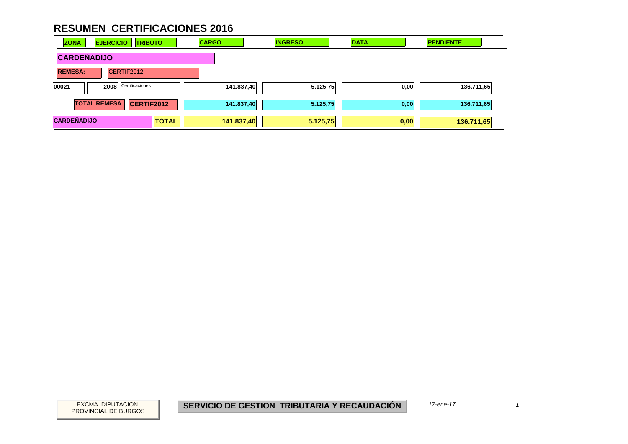| <b>ZONA</b>        | <b>EJERCICIO</b><br><b>TRIBUTO</b>       |              | <b>CARGO</b> | <b>INGRESO</b> | <b>DATA</b> | <b>PENDIENTE</b> |
|--------------------|------------------------------------------|--------------|--------------|----------------|-------------|------------------|
| <b>CARDEÑADIJO</b> |                                          |              |              |                |             |                  |
| <b>REMESA:</b>     | CERTIF2012                               |              |              |                |             |                  |
| 00021              | Certificaciones<br>2008                  |              | 141.837,40   | 5.125,75       | 0,00        | 136.711,65       |
|                    | <b>TOTAL REMESA</b><br><b>CERTIF2012</b> |              | 141.837,40   | 5.125,75       | 0,00        | 136.711,65       |
| <b>CARDEÑADIJO</b> |                                          | <b>TOTAL</b> | 141.837,40   | 5.125,75       | 0,00        | 136.711,65       |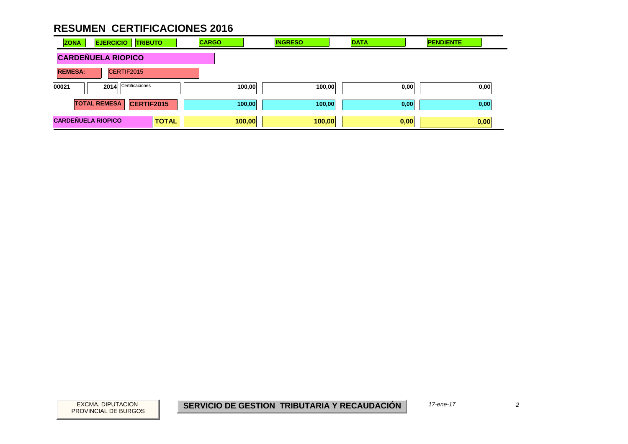| <b>ZONA</b>               | <b>EJERCICIO</b>     | <b>TRIBUTO</b> | <b>CARGO</b> |        | <b>INGRESO</b> | <b>DATA</b> |      | <b>PENDIENTE</b> |      |
|---------------------------|----------------------|----------------|--------------|--------|----------------|-------------|------|------------------|------|
| <b>CARDEÑUELA RIOPICO</b> |                      |                |              |        |                |             |      |                  |      |
| <b>REMESA:</b>            | CERTIF2015           |                |              |        |                |             |      |                  |      |
| 00021                     | 2014 Certificaciones |                |              | 100,00 | 100,00         |             | 0,00 |                  | 0,00 |
|                           | <b>TOTAL REMESA</b>  | CERTIF2015     |              | 100,00 | 100,00         |             | 0,00 |                  | 0,00 |
| <b>CARDEÑUELA RIOPICO</b> |                      | <b>TOTAL</b>   |              | 100,00 | 100,00         |             | 0,00 |                  | 0,00 |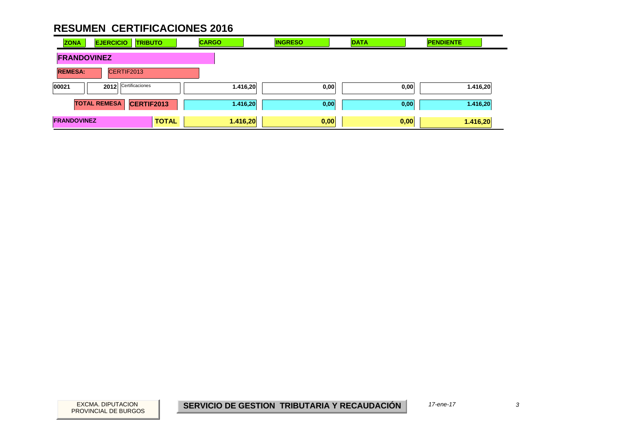| <b>ZONA</b>        | <b>EJERCICIO</b><br><b>TRIBUTO</b>       | <b>CARGO</b> | <b>INGRESO</b> | <b>DATA</b> | <b>PENDIENTE</b> |
|--------------------|------------------------------------------|--------------|----------------|-------------|------------------|
| <b>FRANDOVINEZ</b> |                                          |              |                |             |                  |
| <b>REMESA:</b>     | CERTIF2013                               |              |                |             |                  |
| 00021              | Certificaciones<br>2012                  | 1.416,20     | 0,00           | 0,00        | 1.416,20         |
|                    | <b>TOTAL REMESA</b><br><b>CERTIF2013</b> | 1.416,20     | 0,00           | 0,00        | 1.416,20         |
| <b>FRANDOVINEZ</b> | <b>TOTAL</b>                             | 1.416,20     | 0,00           | 0,00        | 1.416,20         |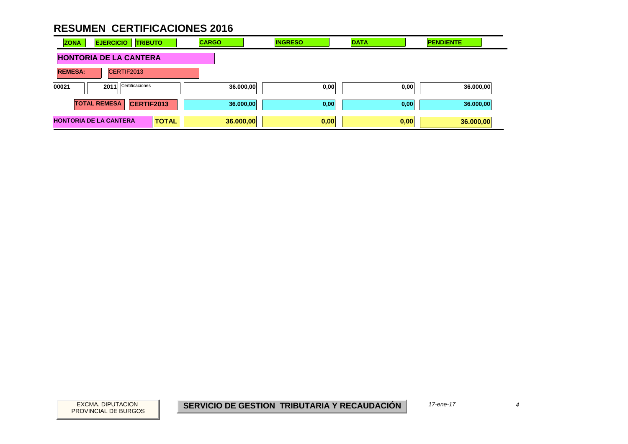| <b>ZONA</b>                   | <b>EJERCICIO</b>              | <b>TRIBUTO</b>  |              | <b>CARGO</b> |           | <b>INGRESO</b> |      | <b>DATA</b> | <b>PENDIENTE</b> |  |
|-------------------------------|-------------------------------|-----------------|--------------|--------------|-----------|----------------|------|-------------|------------------|--|
|                               | <b>HONTORIA DE LA CANTERA</b> |                 |              |              |           |                |      |             |                  |  |
| <b>REMESA:</b>                | CERTIF2013                    |                 |              |              |           |                |      |             |                  |  |
| 00021                         | 2011                          | Certificaciones |              |              | 36.000,00 |                | 0,00 | 0,00        | 36.000,00        |  |
|                               | <b>TOTAL REMESA</b>           | CERTIF2013      |              |              | 36.000,00 |                | 0,00 | 0,00        | 36.000,00        |  |
| <b>HONTORIA DE LA CANTERA</b> |                               |                 | <b>TOTAL</b> |              | 36.000,00 |                | 0,00 | 0,00        | 36.000,00        |  |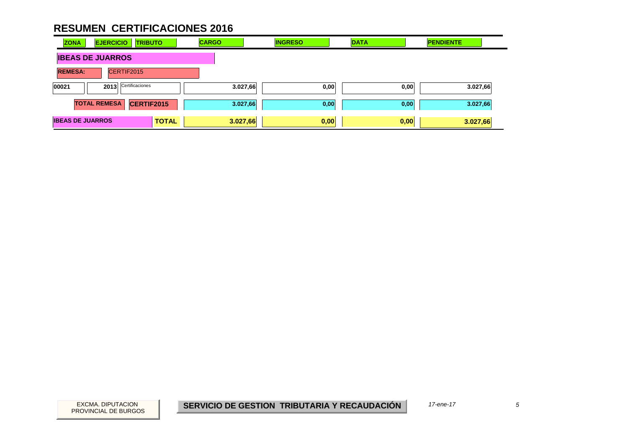| <b>ZONA</b>             | <b>EJERCICIO</b><br><b>TRIBUTO</b> |              | <b>CARGO</b> | <b>INGRESO</b> | <b>DATA</b> | <b>PENDIENTE</b> |
|-------------------------|------------------------------------|--------------|--------------|----------------|-------------|------------------|
|                         | <b>IBEAS DE JUARROS</b>            |              |              |                |             |                  |
| <b>REMESA:</b>          | CERTIF2015                         |              |              |                |             |                  |
| 00021                   | Certificaciones<br>2013            |              | 3.027,66     | 0,00           | 0,00        | 3.027,66         |
|                         | <b>TOTAL REMESA</b><br>CERTIF2015  |              | 3.027,66     | 0,00           | 0,00        | 3.027,66         |
| <b>IBEAS DE JUARROS</b> |                                    | <b>TOTAL</b> | 3.027,66     | 0,00           | 0,00        | 3.027,66         |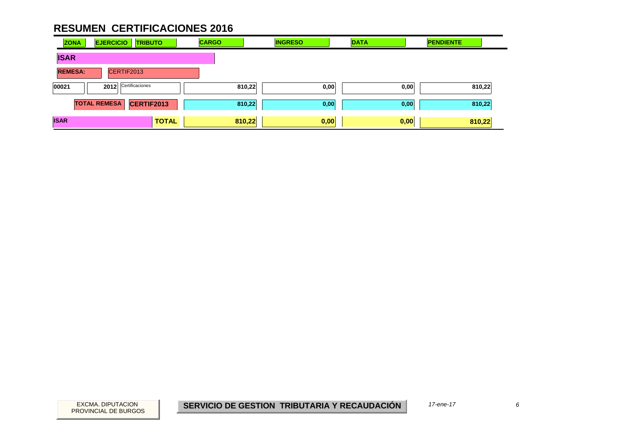| <b>ZONA</b>    | <b>EJERCICIO</b>    | <b>TRIBUTO</b>  | <b>CARGO</b> | <b>INGRESO</b> |      | <b>DATA</b> | <b>PENDIENTE</b> |  |
|----------------|---------------------|-----------------|--------------|----------------|------|-------------|------------------|--|
| <b>ISAR</b>    |                     |                 |              |                |      |             |                  |  |
| <b>REMESA:</b> | CERTIF2013          |                 |              |                |      |             |                  |  |
| 00021          | 2012                | Certificaciones |              | 810,22         | 0,00 | 0,00        | 810,22           |  |
|                | <b>TOTAL REMESA</b> | CERTIF2013      |              | 810,22         | 0,00 | 0,00        | 810,22           |  |
| <b>ISAR</b>    |                     | <b>TOTAL</b>    |              | 810,22         | 0,00 | 0,00        | 810,22           |  |

 $6\overline{6}$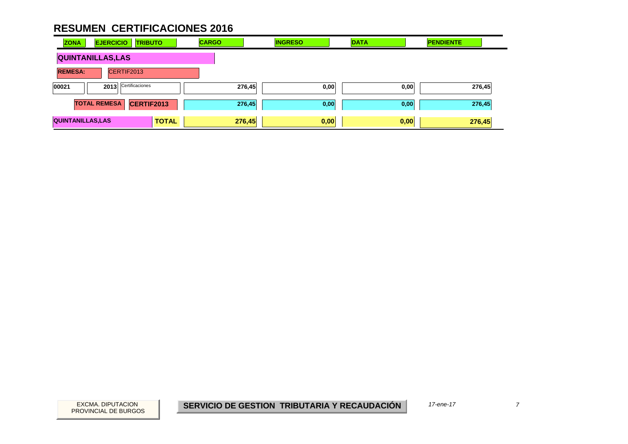| <b>ZONA</b>              | <b>EJERCICIO</b>    | <b>TRIBUTO</b>  |              | <b>CARGO</b> |        | <b>INGRESO</b> | <b>DATA</b> |      | <b>PENDIENTE</b> |  |
|--------------------------|---------------------|-----------------|--------------|--------------|--------|----------------|-------------|------|------------------|--|
| <b>QUINTANILLAS, LAS</b> |                     |                 |              |              |        |                |             |      |                  |  |
| <b>REMESA:</b>           |                     | CERTIF2013      |              |              |        |                |             |      |                  |  |
| 00021                    | 2013                | Certificaciones |              |              | 276,45 | 0,00           |             | 0,00 | 276,45           |  |
|                          | <b>TOTAL REMESA</b> | CERTIF2013      |              |              | 276,45 | 0,00           |             | 0,00 | 276,45           |  |
| <b>QUINTANILLAS, LAS</b> |                     |                 | <b>TOTAL</b> |              | 276,45 | 0,00           |             | 0,00 | 276,45           |  |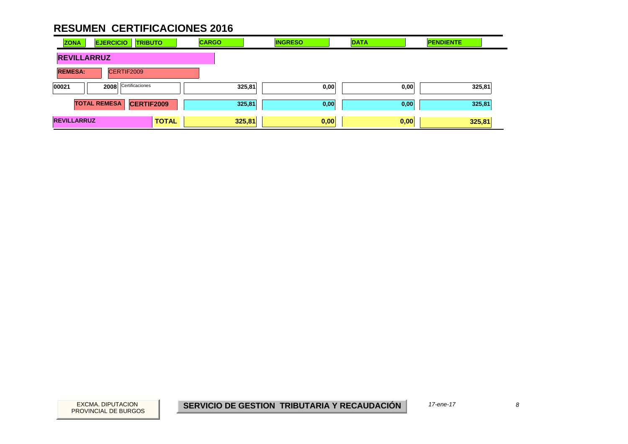| <b>ZONA</b>        | <b>EJERCICIO</b><br><b>TRIBUTO</b>       | <b>CARGO</b> | <b>INGRESO</b> | <b>DATA</b> | <b>PENDIENTE</b> |
|--------------------|------------------------------------------|--------------|----------------|-------------|------------------|
| <b>REVILLARRUZ</b> |                                          |              |                |             |                  |
| <b>REMESA:</b>     | CERTIF2009                               |              |                |             |                  |
| 00021              | Certificaciones<br>2008                  | 325,81       | 0,00           | 0,00        | 325,81           |
|                    | <b>TOTAL REMESA</b><br><b>CERTIF2009</b> | 325,81       | 0,00           | 0,00        | 325,81           |
| <b>REVILLARRUZ</b> | <b>TOTAL</b>                             | 325,81       | 0,00           | 0,00        | 325,81           |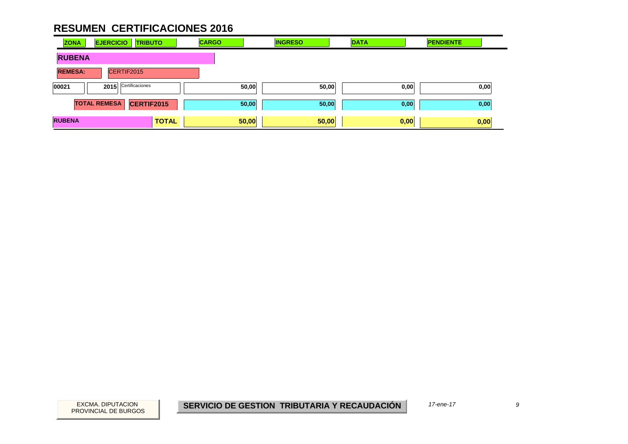| <b>ZONA</b>    | <b>EJERCICIO</b>     | <b>TRIBUTO</b> | <b>CARGO</b> |       | <b>INGRESO</b> | <b>DATA</b> | <b>PENDIENTE</b> |
|----------------|----------------------|----------------|--------------|-------|----------------|-------------|------------------|
| <b>RUBENA</b>  |                      |                |              |       |                |             |                  |
| <b>REMESA:</b> | CERTIF2015           |                |              |       |                |             |                  |
| 00021          | 2015 Certificaciones |                |              | 50,00 | 50,00          | 0,00        | 0,00             |
|                | <b>TOTAL REMESA</b>  | CERTIF2015     |              | 50,00 | 50,00          | 0,00        | 0,00             |
| <b>RUBENA</b>  |                      | <b>TOTAL</b>   |              | 50,00 | 50,00          | 0,00        | 0,00             |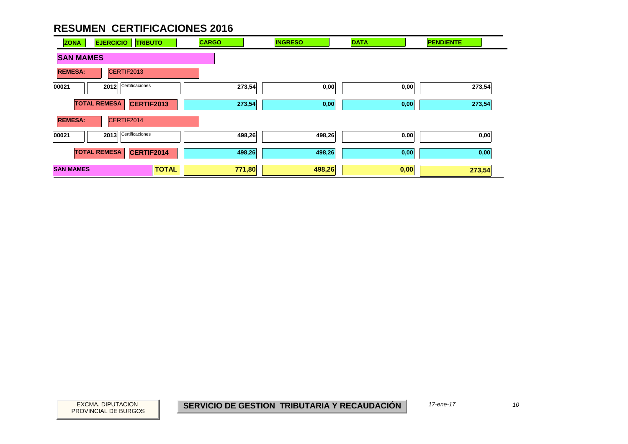| <b>EJERCICIO</b><br><b>ZONA</b> | <b>TRIBUTO</b>    | <b>CARGO</b> | <b>INGRESO</b> | <b>DATA</b> | <b>PENDIENTE</b> |
|---------------------------------|-------------------|--------------|----------------|-------------|------------------|
| <b>SAN MAMES</b>                |                   |              |                |             |                  |
| <b>REMESA:</b>                  | CERTIF2013        |              |                |             |                  |
| 00021<br>2012                   | Certificaciones   | 273,54       | 0,00           | 0,00        | 273,54           |
| <b>TOTAL REMESA</b>             | <b>CERTIF2013</b> | 273,54       | 0,00           | 0,00        | 273,54           |
| <b>REMESA:</b>                  | CERTIF2014        |              |                |             |                  |
| 2013<br>00021                   | Certificaciones   | 498,26       | 498,26         | 0,00        | 0,00             |
| <b>TOTAL REMESA</b>             | CERTIF2014        | 498,26       | 498,26         | 0,00        | 0,00             |
| <b>SAN MAMES</b>                | <b>TOTAL</b>      | 771,80       | 498,26         | 0,00        | 273,54           |

PROVINCIAL DE BURGOS

 $10<sup>10</sup>$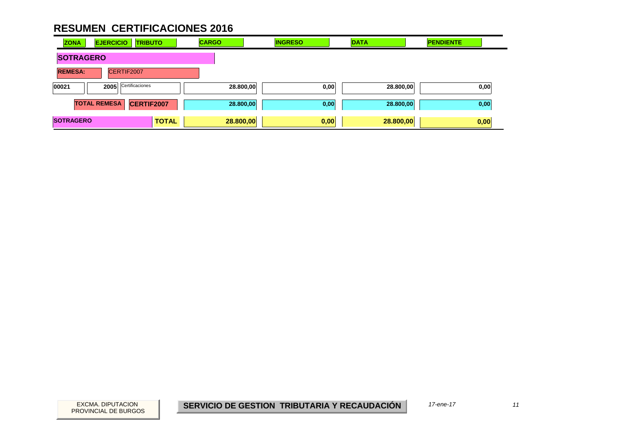| <b>ZONA</b>      | <b>EJERCICIO</b><br><b>TRIBUTO</b>       | <b>CARGO</b> | <b>INGRESO</b> | <b>DATA</b> | <b>PENDIENTE</b> |
|------------------|------------------------------------------|--------------|----------------|-------------|------------------|
| <b>SOTRAGERO</b> |                                          |              |                |             |                  |
| <b>REMESA:</b>   | CERTIF2007                               |              |                |             |                  |
| 00021            | Certificaciones<br>2005                  | 28.800,00    | 0,00           | 28.800,00   | 0,00             |
|                  | <b>TOTAL REMESA</b><br><b>CERTIF2007</b> | 28.800,00    | 0,00           | 28.800,00   | 0,00             |
| <b>SOTRAGERO</b> | <b>TOTAL</b>                             | 28.800,00    | 0,00           | 28.800,00   | 0,00             |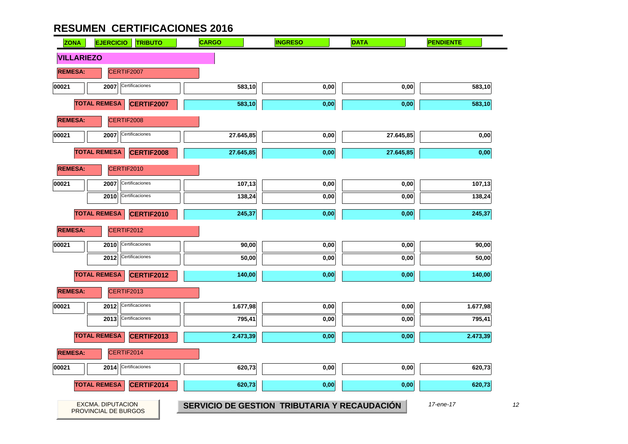| <b>ZONA</b>       | <b>EJERCICIO</b><br><b>TRIBUTO</b>        | <b>CARGO</b>                                 | <b>INGRESO</b> | <b>DATA</b> | <b>PENDIENTE</b> |
|-------------------|-------------------------------------------|----------------------------------------------|----------------|-------------|------------------|
| <b>VILLARIEZO</b> |                                           |                                              |                |             |                  |
| <b>REMESA:</b>    | CERTIF2007                                |                                              |                |             |                  |
| 00021             | Certificaciones<br>2007                   | 583,10                                       | 0,00           | 0,00        | 583,10           |
|                   | <b>TOTAL REMESA</b><br>CERTIF2007         | 583,10                                       | 0,00           | 0,00        | 583,10           |
| <b>REMESA:</b>    | CERTIF2008                                |                                              |                |             |                  |
| 00021             | Certificaciones<br>2007                   | 27.645,85                                    | 0,00           | 27.645,85   | 0,00             |
|                   | <b>TOTAL REMESA</b><br><b>CERTIF2008</b>  | 27.645,85                                    | 0,00           | 27.645,85   | 0,00             |
| <b>REMESA:</b>    | CERTIF2010                                |                                              |                |             |                  |
| 00021             | Certificaciones<br>2007                   | 107,13                                       | 0,00           | 0,00        | 107,13           |
|                   | Certificaciones<br>2010                   | 138,24                                       | 0,00           | 0,00        | 138,24           |
|                   | <b>TOTAL REMESA</b><br>CERTIF2010         | 245,37                                       | 0,00           | 0,00        | 245,37           |
| <b>REMESA:</b>    | CERTIF2012                                |                                              |                |             |                  |
| 00021             | Certificaciones<br>2010                   | 90,00                                        | 0,00           | 0,00        | 90,00            |
|                   | Certificaciones<br>2012                   | 50,00                                        | 0,00           | 0,00        | 50,00            |
|                   | <b>TOTAL REMESA</b><br><b>CERTIF2012</b>  | 140,00                                       | 0,00           | 0,00        | 140,00           |
| <b>REMESA:</b>    | CERTIF2013                                |                                              |                |             |                  |
| 00021             | Certificaciones<br>2012                   | 1.677,98                                     | 0,00           | 0,00        | 1.677,98         |
|                   | Certificaciones<br>2013                   | 795,41                                       | 0,00           | 0,00        | 795,41           |
|                   | <b>TOTAL REMESA</b><br><b>CERTIF2013</b>  | 2.473,39                                     | 0,00           | 0,00        | 2.473,39         |
| <b>REMESA:</b>    | CERTIF2014                                |                                              |                |             |                  |
| 00021             | Certificaciones<br>2014                   | 620,73                                       | 0,00           | 0,00        | 620,73           |
|                   | <b>TOTAL REMESA</b><br>CERTIF2014         | 620,73                                       | 0,00           | 0,00        | 620,73           |
|                   |                                           |                                              |                |             |                  |
|                   | EXCMA. DIPUTACION<br>PROVINCIAL DE BURGOS | SERVICIO DE GESTION TRIBUTARIA Y RECAUDACIÓN |                |             | 17-ene-17        |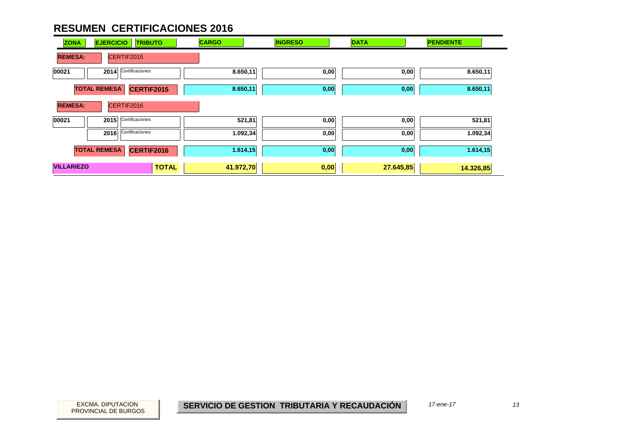| <b>ZONA</b>       | <b>EJERCICIO</b>    | <b>TRIBUTO</b>  | <b>CARGO</b> | <b>INGRESO</b> | <b>DATA</b> | <b>PENDIENTE</b> |
|-------------------|---------------------|-----------------|--------------|----------------|-------------|------------------|
| <b>REMESA:</b>    |                     | CERTIF2015      |              |                |             |                  |
| 00021             | 2014                | Certificaciones | 8.650,11     | 0,00           | 0,00        | 8.650,11         |
|                   | <b>TOTAL REMESA</b> | CERTIF2015      | 8.650,11     | 0,00           | 0,00        | 8.650,11         |
| <b>REMESA:</b>    |                     | CERTIF2016      |              |                |             |                  |
| 00021             | 2015                | Certificaciones | 521,81       | 0,00           | 0,00        | 521,81           |
|                   | 2016                | Certificaciones | 1.092,34     | 0,00           | 0,00        | 1.092,34         |
|                   | <b>TOTAL REMESA</b> | CERTIF2016      | 1.614,15     | 0,00           | 0,00        | 1.614, 15        |
| <b>VILLARIEZO</b> |                     | <b>TOTAL</b>    | 41.972,70    | 0,00           | 27.645,85   | 14.326,85        |

PROVINCIAL DE BURGOS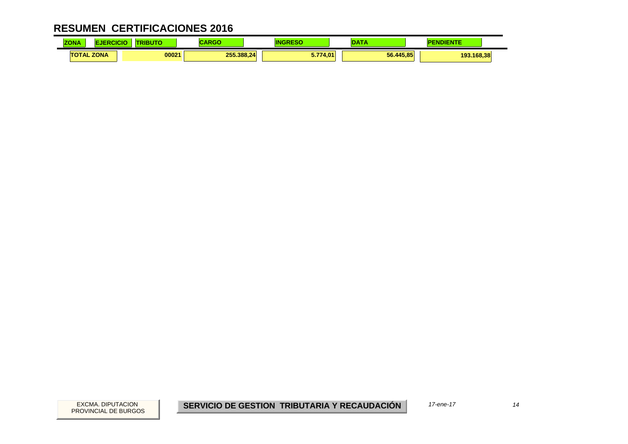| <b>CREW</b><br><b>ZONA</b> | CICK | .     | ,,,,,      |                        | $\sim$    | <b><i><u>Property</u></i></b><br><b>"DIENTL</b> |
|----------------------------|------|-------|------------|------------------------|-----------|-------------------------------------------------|
| <b>TOTAL ZONA</b>          |      | 00021 | 255.388.24 | 5.774.01<br>. <i>.</i> | 56.445.85 | 193.168,38                                      |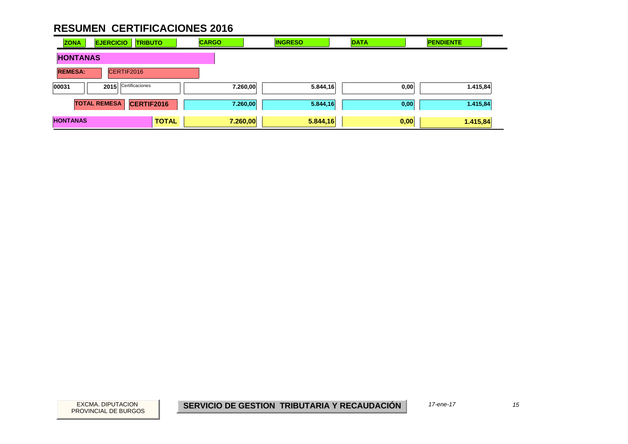| <b>ZONA</b>     | <b>EJERCICIO</b>    | <b>TRIBUTO</b>  |              | <b>CARGO</b> |          | <b>INGRESO</b> | <b>DATA</b> | <b>PENDIENTE</b> |  |
|-----------------|---------------------|-----------------|--------------|--------------|----------|----------------|-------------|------------------|--|
| <b>HONTANAS</b> |                     |                 |              |              |          |                |             |                  |  |
| <b>REMESA:</b>  |                     | CERTIF2016      |              |              |          |                |             |                  |  |
| 00031           | 2015                | Certificaciones |              |              | 7.260,00 | 5.844,16       | 0,00        | 1.415,84         |  |
|                 | <b>TOTAL REMESA</b> | CERTIF2016      |              |              | 7.260,00 | 5.844,16       | 0,00        | 1.415,84         |  |
| <b>HONTANAS</b> |                     |                 | <b>TOTAL</b> |              | 7.260,00 | 5.844,16       | 0,00        | 1.415,84         |  |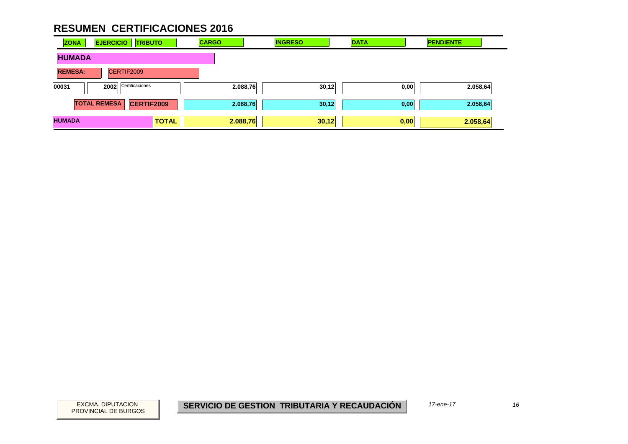| <b>ZONA</b>    | <b>EJERCICIO</b>    | <b>TRIBUTO</b>    |              | <b>CARGO</b> |          | <b>INGRESO</b> | <b>DATA</b> |      | <b>PENDIENTE</b> |  |
|----------------|---------------------|-------------------|--------------|--------------|----------|----------------|-------------|------|------------------|--|
| <b>HUMADA</b>  |                     |                   |              |              |          |                |             |      |                  |  |
| <b>REMESA:</b> |                     | CERTIF2009        |              |              |          |                |             |      |                  |  |
| 00031          | 2002                | Certificaciones   |              |              | 2.088,76 | 30,12          |             | 0,00 | 2.058,64         |  |
|                | <b>TOTAL REMESA</b> | <b>CERTIF2009</b> |              |              | 2.088,76 | 30,12          |             | 0,00 | 2.058,64         |  |
| <b>HUMADA</b>  |                     |                   | <b>TOTAL</b> | 2.088,76     |          | 30,12          | 0,00        |      | 2.058,64         |  |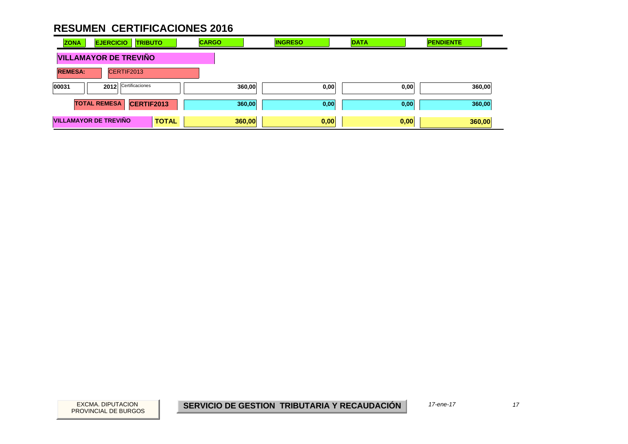| <b>ZONA</b>    | <b>EJERCICIO</b><br><b>TRIBUTO</b>           | <b>CARGO</b> | <b>INGRESO</b> | <b>DATA</b> | <b>PENDIENTE</b> |
|----------------|----------------------------------------------|--------------|----------------|-------------|------------------|
|                | <b>VILLAMAYOR DE TREVIÑO</b>                 |              |                |             |                  |
| <b>REMESA:</b> | CERTIF2013                                   |              |                |             |                  |
| 00031          | Certificaciones<br>2012                      | 360,00       | 0,00           | 0,00        | 360,00           |
|                | CERTIF2013<br><b>TOTAL REMESA</b>            | 360,00       | 0,00           | 0,00        | 360,00           |
|                | <b>VILLAMAYOR DE TREVIÑO</b><br><b>TOTAL</b> | 360,00       | 0,00           | 0,00        | 360,00           |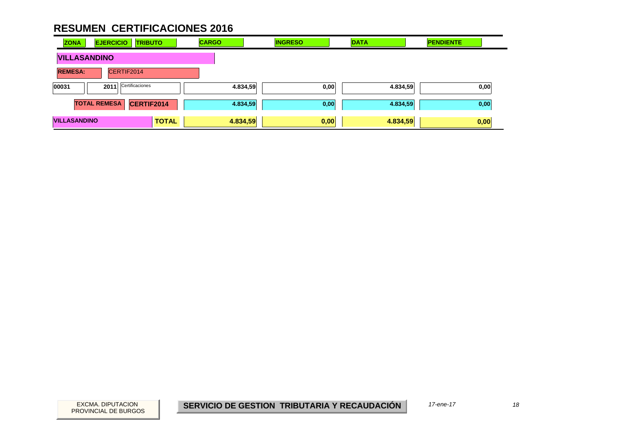| <b>ZONA</b>         | <b>EJERCICIO</b><br><b>TRIBUTO</b> | <b>CARGO</b> | <b>INGRESO</b> | <b>DATA</b> | <b>PENDIENTE</b> |
|---------------------|------------------------------------|--------------|----------------|-------------|------------------|
| <b>VILLASANDINO</b> |                                    |              |                |             |                  |
| <b>REMESA:</b>      | CERTIF2014                         |              |                |             |                  |
| 00031               | Certificaciones<br>2011            | 4.834,59     | 0,00           | 4.834,59    | 0,00             |
|                     | <b>TOTAL REMESA</b><br>CERTIF2014  | 4.834,59     | 0,00           | 4.834,59    | 0,00             |
| <b>VILLASANDINO</b> | <b>TOTAL</b>                       | 4.834,59     | 0,00           | 4.834,59    | 0,00             |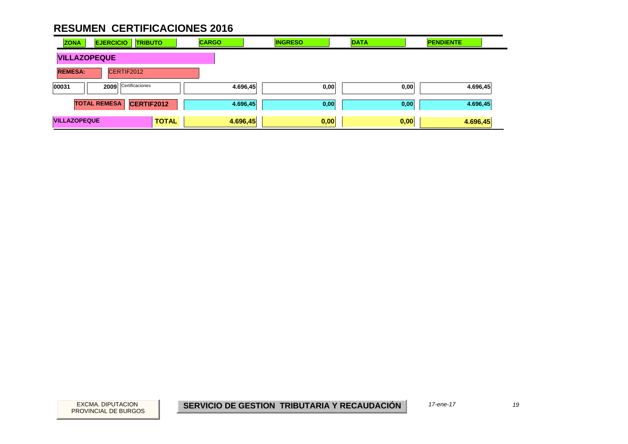| <b>ZONA</b>         | <b>EJERCICIO</b><br><b>TRIBUTO</b> | <b>CARGO</b> | <b>INGRESO</b> | <b>DATA</b> | <b>PENDIENTE</b> |
|---------------------|------------------------------------|--------------|----------------|-------------|------------------|
| <b>VILLAZOPEQUE</b> |                                    |              |                |             |                  |
| <b>REMESA:</b>      | CERTIF2012                         |              |                |             |                  |
| 00031               | Certificaciones<br>2009            | 4.696,45     | 0,00           | 0,00        | 4.696,45         |
|                     | <b>TOTAL REMESA</b><br>CERTIF2012  | 4.696,45     | 0,00           | 0,00        | 4.696,45         |
| <b>VILLAZOPEQUE</b> | <b>TOTAL</b>                       | 4.696,45     | 0,00           | 0,00        | 4.696,45         |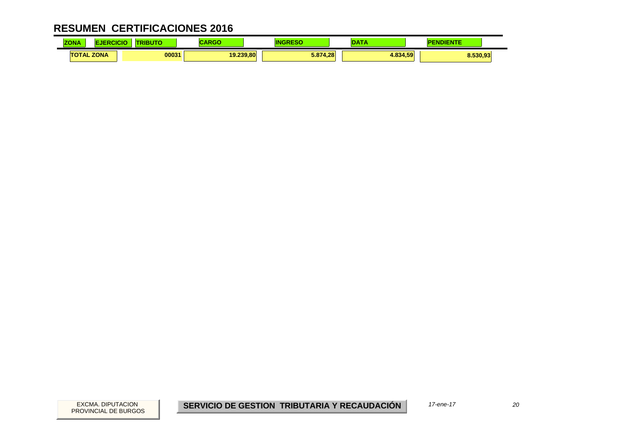| $-0.1 - 0.1$<br><b>ZONA</b> | CICK | .     |           |          | <b>STATISTICS</b> | <b><i><u>Property</u></i></b> |
|-----------------------------|------|-------|-----------|----------|-------------------|-------------------------------|
| <b>TOTAL ZONA</b>           |      | 00031 | 19.239.80 | 5.874.28 | 1.834.59          | 8.530,93                      |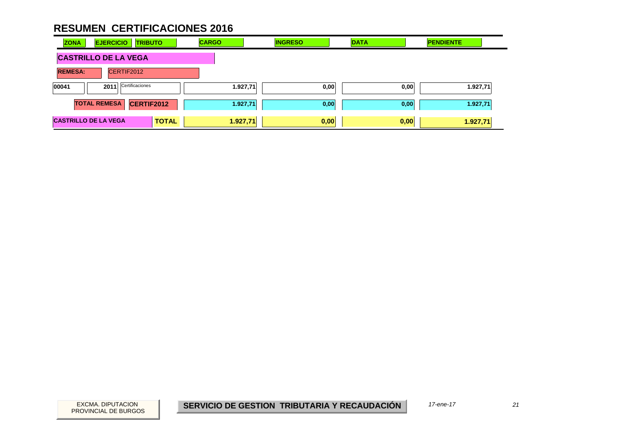| <b>ZONA</b>                 | <b>EJERCICIO</b><br><b>TRIBUTO</b>       |              | <b>CARGO</b> | <b>INGRESO</b> | <b>DATA</b> | <b>PENDIENTE</b> |
|-----------------------------|------------------------------------------|--------------|--------------|----------------|-------------|------------------|
| <b>CASTRILLO DE LA VEGA</b> |                                          |              |              |                |             |                  |
| <b>REMESA:</b>              | CERTIF2012                               |              |              |                |             |                  |
| 00041                       | Certificaciones<br>2011                  |              | 1.927,71     | 0,00           | 0,00        | 1.927,71         |
|                             | <b>TOTAL REMESA</b><br><b>CERTIF2012</b> |              | 1.927,71     | 0,00           | 0,00        | 1.927,71         |
| <b>CASTRILLO DE LA VEGA</b> |                                          | <b>TOTAL</b> | 1.927,71     | 0,00           | 0,00        | 1.927,71         |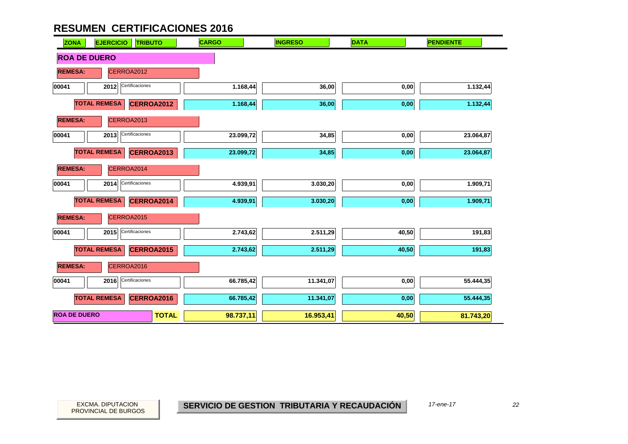| <b>ZONA</b>         | <b>EJERCICIO</b><br><b>TRIBUTO</b> | <b>CARGO</b> | <b>INGRESO</b> | <b>DATA</b> | <b>PENDIENTE</b> |  |  |  |  |
|---------------------|------------------------------------|--------------|----------------|-------------|------------------|--|--|--|--|
| <b>ROA DE DUERO</b> |                                    |              |                |             |                  |  |  |  |  |
| <b>REMESA:</b>      | CERROA2012                         |              |                |             |                  |  |  |  |  |
| 00041               | Certificaciones<br>2012            | 1.168,44     | 36,00          | 0,00        | 1.132,44         |  |  |  |  |
|                     | <b>TOTAL REMESA</b><br>CERROA2012  | 1.168,44     | 36,00          | 0,00        | 1.132,44         |  |  |  |  |
| <b>REMESA:</b>      | CERROA2013                         |              |                |             |                  |  |  |  |  |
| 00041               | Certificaciones<br>2013            | 23.099,72    | 34,85          | 0,00        | 23.064,87        |  |  |  |  |
|                     | <b>TOTAL REMESA</b><br>CERROA2013  | 23.099,72    | 34,85          | 0,00        | 23.064,87        |  |  |  |  |
| <b>REMESA:</b>      | CERROA2014                         |              |                |             |                  |  |  |  |  |
| 00041               | Certificaciones<br>2014            | 4.939,91     | 3.030,20       | 0,00        | 1.909,71         |  |  |  |  |
|                     | <b>TOTAL REMESA</b><br>CERROA2014  | 4.939,91     | 3.030,20       | 0,00        | 1.909,71         |  |  |  |  |
| <b>REMESA:</b>      | CERROA2015                         |              |                |             |                  |  |  |  |  |
| 00041               | Certificaciones<br>2015            | 2.743,62     | 2.511,29       | 40,50       | 191,83           |  |  |  |  |
|                     | <b>TOTAL REMESA</b><br>CERROA2015  | 2.743,62     | 2.511,29       | 40,50       | 191,83           |  |  |  |  |
| <b>REMESA:</b>      | CERROA2016                         |              |                |             |                  |  |  |  |  |
| 00041               | Certificaciones<br>2016            | 66.785,42    | 11.341,07      | 0,00        | 55.444,35        |  |  |  |  |
|                     | <b>TOTAL REMESA</b><br>CERROA2016  | 66.785,42    | 11.341,07      | 0,00        | 55.444,35        |  |  |  |  |
| <b>ROA DE DUERO</b> | <b>TOTAL</b>                       | 98.737,11    | 16.953,41      | 40,50       | 81.743,20        |  |  |  |  |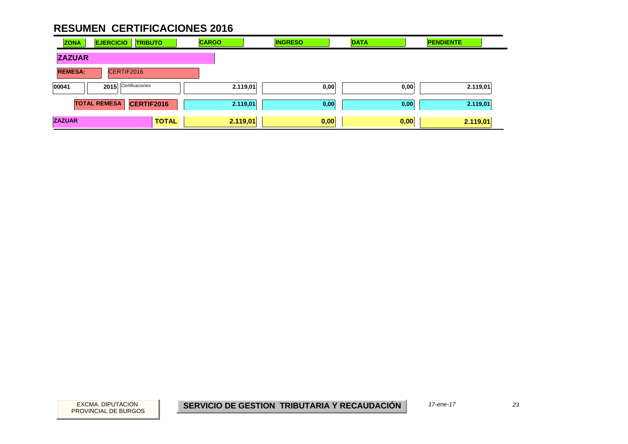| <b>ZONA</b>    | <b>EJERCICIO</b><br><b>TRIBUTO</b> | <b>CARGO</b> | <b>INGRESO</b> | <b>DATA</b> | <b>PENDIENTE</b> |
|----------------|------------------------------------|--------------|----------------|-------------|------------------|
| <b>ZAZUAR</b>  |                                    |              |                |             |                  |
| <b>REMESA:</b> | CERTIF2016                         |              |                |             |                  |
| 00041          | Certificaciones<br>2015            | 2.119,01     | 0,00           | 0,00        | 2.119,01         |
|                | <b>TOTAL REMESA</b><br>CERTIF2016  | 2.119,01     | 0,00           | 0,00        | 2.119,01         |
| <b>ZAZUAR</b>  | <b>TOTAL</b>                       | 2.119,01     | 0,00           | 0,00        | 2.119,01         |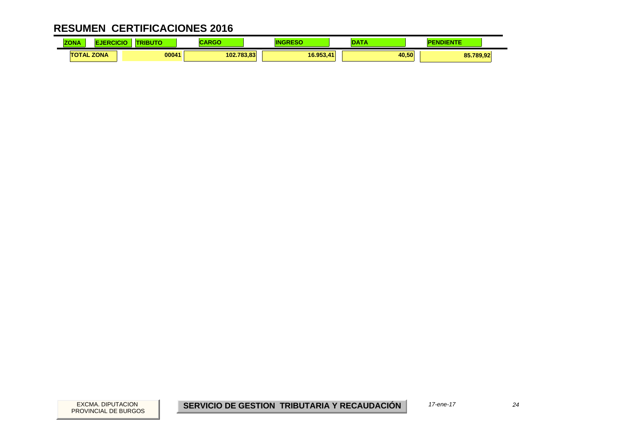| <b>ZONA</b>       | <b>JBUT</b> | RADAC<br>יטא |           | ---<br>. | <b>DIENTE</b><br>ÆU. |
|-------------------|-------------|--------------|-----------|----------|----------------------|
| <b>TOTAL ZONA</b> | 00041       | 102.783.83   | 16.953.41 | 40,50    | 85.789,92            |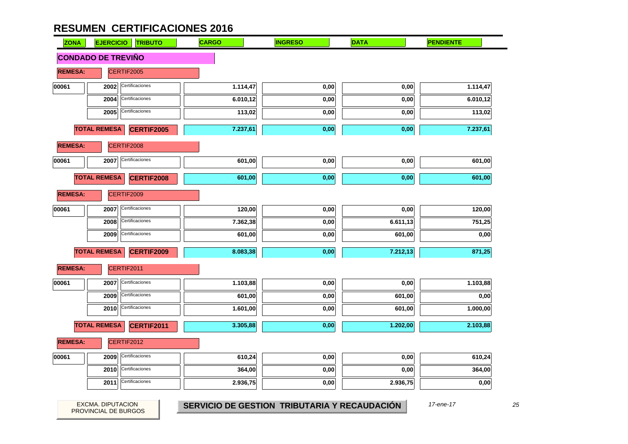| <b>ZONA</b>    | <b>EJERCICIO</b>          | <b>TRIBUTO</b>    | <b>CARGO</b> | <b>INGRESO</b> | <b>DATA</b> | <b>PENDIENTE</b> |
|----------------|---------------------------|-------------------|--------------|----------------|-------------|------------------|
|                | <b>CONDADO DE TREVIÑO</b> |                   |              |                |             |                  |
| <b>REMESA:</b> |                           | CERTIF2005        |              |                |             |                  |
| 00061          | 2002                      | Certificaciones   | 1.114,47     | 0,00           | 0,00        | 1.114,47         |
|                | 2004                      | Certificaciones   | 6.010,12     | 0,00           | 0,00        | 6.010,12         |
|                | 2005                      | Certificaciones   | 113,02       | 0,00           | 0,00        | 113,02           |
|                | <b>TOTAL REMESA</b>       | <b>CERTIF2005</b> | 7.237,61     | 0,00           | 0,00        | 7.237,61         |
| <b>REMESA:</b> |                           | CERTIF2008        |              |                |             |                  |
| 00061          | 2007                      | Certificaciones   | 601,00       | 0,00           | 0,00        | 601,00           |
|                | <b>TOTAL REMESA</b>       | CERTIF2008        | 601,00       | 0,00           | 0,00        | 601,00           |
| <b>REMESA:</b> |                           | CERTIF2009        |              |                |             |                  |
| 00061          | 2007                      | Certificaciones   | 120,00       | 0,00           | 0,00        | 120,00           |
|                | 2008                      | Certificaciones   | 7.362,38     | 0,00           | 6.611,13    | 751,25           |
|                | 2009                      | Certificaciones   | 601,00       | 0,00           | 601,00      | 0,00             |
|                | <b>TOTAL REMESA</b>       | <b>CERTIF2009</b> | 8.083,38     | 0,00           | 7.212,13    | 871,25           |
| <b>REMESA:</b> |                           | CERTIF2011        |              |                |             |                  |
| 00061          | 2007                      | Certificaciones   | 1.103,88     | 0,00           | 0,00        | 1.103,88         |
|                | 2009                      | Certificaciones   | 601,00       | 0,00           | 601,00      | 0,00             |
|                | 2010                      | Certificaciones   | 1.601,00     | 0,00           | 601,00      | 1.000,00         |
|                | <b>TOTAL REMESA</b>       | CERTIF2011        | 3.305,88     | 0,00           | 1.202,00    | 2.103,88         |
| <b>REMESA:</b> |                           | CERTIF2012        |              |                |             |                  |
| 00061          | 2009                      | Certificaciones   | 610,24       | 0,00           | 0,00        | 610,24           |
|                | 2010                      | Certificaciones   | 364,00       | 0,00           | 0,00        | 364,00           |
|                | 2011                      | Certificaciones   | 2.936,75     | 0,00           | 2.936,75    | 0,00             |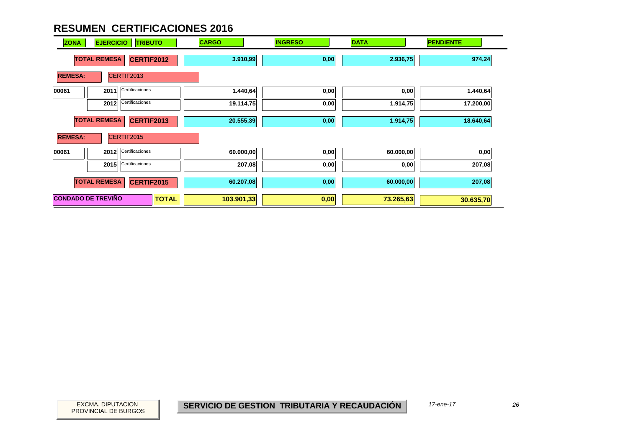| <b>ZONA</b>    | <b>EJERCICIO</b>          | <b>TRIBUTO</b>    |              | <b>CARGO</b> | <b>INGRESO</b> | <b>DATA</b> | <b>PENDIENTE</b> |
|----------------|---------------------------|-------------------|--------------|--------------|----------------|-------------|------------------|
|                | <b>TOTAL REMESA</b>       | <b>CERTIF2012</b> |              | 3.910,99     | 0,00           | 2.936,75    | 974,24           |
| <b>REMESA:</b> |                           | CERTIF2013        |              |              |                |             |                  |
| 00061          | 2011                      | Certificaciones   |              | 1.440,64     | 0,00           | 0,00        | 1.440,64         |
|                | 2012                      | Certificaciones   |              | 19.114,75    | 0,00           | 1.914,75    | 17.200,00        |
|                | <b>TOTAL REMESA</b>       | <b>CERTIF2013</b> |              | 20.555,39    | 0,00           | 1.914,75    | 18.640,64        |
| <b>REMESA:</b> |                           | CERTIF2015        |              |              |                |             |                  |
| 00061          | 2012                      | Certificaciones   |              | 60.000,00    | 0,00           | 60.000,00   | 0,00             |
|                | 2015                      | Certificaciones   |              | 207,08       | 0,00           | 0,00        | 207,08           |
|                | <b>TOTAL REMESA</b>       | CERTIF2015        |              | 60.207,08    | 0,00           | 60.000,00   | 207,08           |
|                | <b>CONDADO DE TREVIÑO</b> |                   | <b>TOTAL</b> | 103.901,33   | 0,00           | 73.265,63   | 30.635,70        |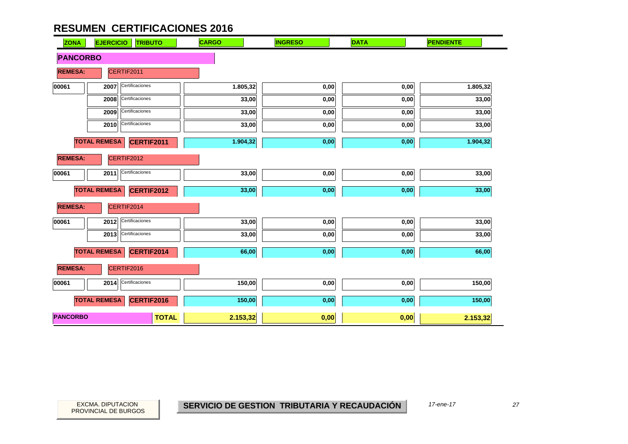| <b>ZONA</b>     | <b>EJERCICIO</b><br><b>TRIBUTO</b>       | <b>CARGO</b>             | <b>INGRESO</b> | <b>DATA</b> | <b>PENDIENTE</b> |
|-----------------|------------------------------------------|--------------------------|----------------|-------------|------------------|
| <b>PANCORBO</b> |                                          |                          |                |             |                  |
| <b>REMESA:</b>  | CERTIF2011                               |                          |                |             |                  |
| 00061           | Certificaciones<br>2007                  | 1.805,32                 | 0,00           | 0,00        | 1.805,32         |
|                 | Certificaciones<br>2008                  | 33,00                    | 0,00           | 0,00        | 33,00            |
|                 | Certificaciones<br>2009                  | 33,00                    | 0,00           | 0,00        | 33,00            |
|                 | Certificaciones<br>2010                  | 33,00                    | 0,00           | 0,00        | 33,00            |
|                 | <b>TOTAL REMESA</b><br>CERTIF2011        | 1.904,32                 | 0,00           | 0,00        | 1.904,32         |
| <b>REMESA:</b>  | CERTIF2012                               |                          |                |             |                  |
| 00061           | Certificaciones<br>2011                  | 33,00                    | 0,00           | 0,00        | 33,00            |
|                 | <b>TOTAL REMESA</b><br><b>CERTIF2012</b> | 33,00                    | 0,00           | 0,00        | 33,00            |
| <b>REMESA:</b>  | CERTIF2014                               |                          |                |             |                  |
| 00061           | Certificaciones<br>2012                  | 33,00                    | 0,00           | 0,00        | 33,00            |
|                 | Certificaciones<br>2013                  | 33,00                    | 0,00           | 0,00        | 33,00            |
|                 | <b>TOTAL REMESA</b><br><b>CERTIF2014</b> | 66,00                    | 0,00           | 0,00        | 66,00            |
| <b>REMESA:</b>  | CERTIF2016                               |                          |                |             |                  |
| 00061           | Certificaciones<br>2014                  | 150,00                   | $0,\!00$       | $0,\!00$    | 150,00           |
|                 | <b>TOTAL REMESA</b><br>CERTIF2016        | 150,00                   | 0,00           | 0,00        | 150,00           |
| <b>PANCORBO</b> |                                          | <b>TOTAL</b><br>2.153,32 | 0,00           | 0,00        | 2.153,32         |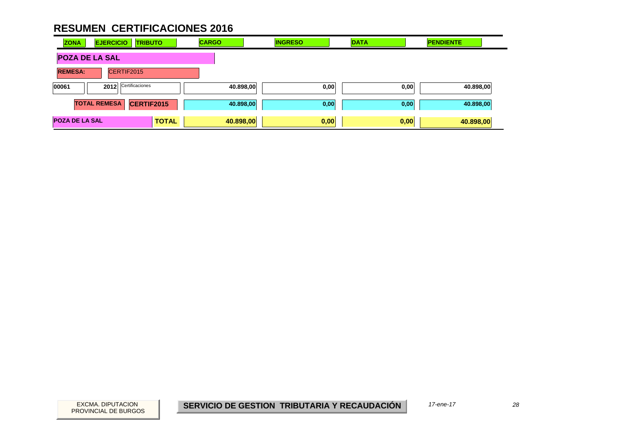| <b>ZONA</b>           | <b>EJERCICIO</b><br><b>TRIBUTO</b> |                   | <b>CARGO</b> | <b>INGRESO</b> | <b>DATA</b> |      | <b>PENDIENTE</b> |           |  |
|-----------------------|------------------------------------|-------------------|--------------|----------------|-------------|------|------------------|-----------|--|
| <b>POZA DE LA SAL</b> |                                    |                   |              |                |             |      |                  |           |  |
| <b>REMESA:</b>        | CERTIF2015                         |                   |              |                |             |      |                  |           |  |
| 00061                 | 2012                               | Certificaciones   |              | 40.898,00      | 0,00        |      | 0,00             | 40.898,00 |  |
|                       | <b>TOTAL REMESA</b>                | <b>CERTIF2015</b> |              | 40.898,00      | 0,00        |      | 0,00             | 40.898,00 |  |
| <b>POZA DE LA SAL</b> |                                    | <b>TOTAL</b>      |              | 40.898,00      | 0,00        | 0,00 |                  | 40.898,00 |  |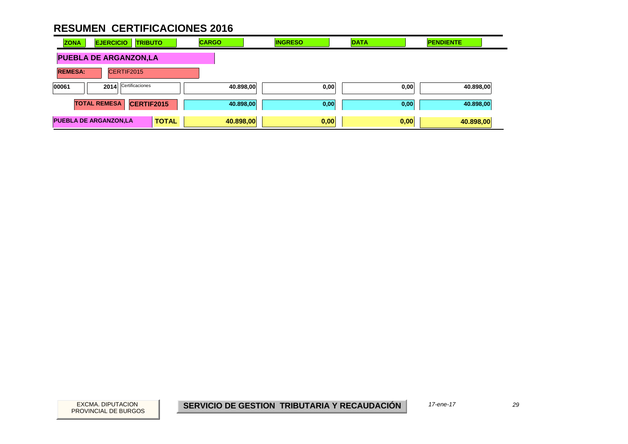| <b>ZONA</b>    | <b>EJERCICIO</b><br><b>TRIBUTO</b>           | <b>CARGO</b> | <b>INGRESO</b>    | <b>DATA</b> | <b>PENDIENTE</b> |
|----------------|----------------------------------------------|--------------|-------------------|-------------|------------------|
|                | <b>PUEBLA DE ARGANZON,LA</b>                 |              |                   |             |                  |
| <b>REMESA:</b> | CERTIF2015                                   |              |                   |             |                  |
| 00061          | Certificaciones<br>2014                      |              | 40.898,00<br>0,00 | 0,00        | 40.898,00        |
|                | CERTIF2015<br><b>TOTAL REMESA</b>            |              | 40.898,00<br>0,00 | 0,00        | 40.898,00        |
|                | <b>PUEBLA DE ARGANZON,LA</b><br><b>TOTAL</b> | 40.898,00    | 0,00              | 0,00        | 40.898,00        |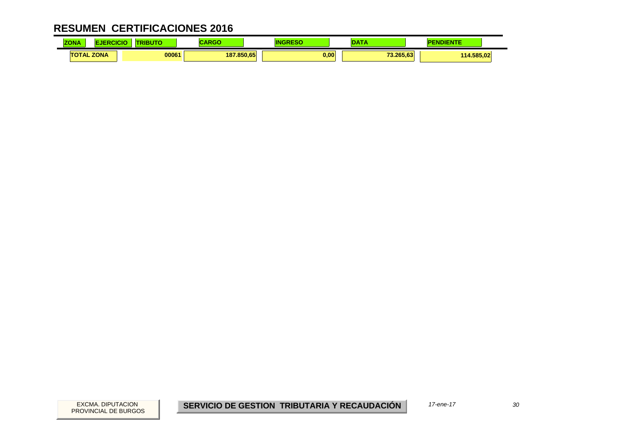| $-0.1 - 0.0$<br><b>ZONA</b> | CICK | .     |            |      | <b>CONTRACTOR</b> | <b><i><u>Property</u></i></b> |  |
|-----------------------------|------|-------|------------|------|-------------------|-------------------------------|--|
| <b>TOTAL ZONA</b>           |      | 00061 | 187.850.65 | 0.00 | 73.265.63         | 114.585.02                    |  |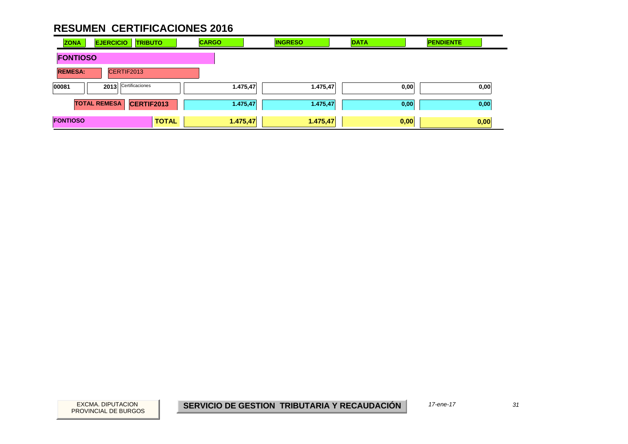| <b>ZONA</b>     | <b>EJERCICIO</b>    | <b>TRIBUTO</b>  |              | <b>CARGO</b> |          | <b>INGRESO</b> | <b>DATA</b> | <b>PENDIENTE</b> |      |
|-----------------|---------------------|-----------------|--------------|--------------|----------|----------------|-------------|------------------|------|
| <b>FONTIOSO</b> |                     |                 |              |              |          |                |             |                  |      |
| <b>REMESA:</b>  | CERTIF2013          |                 |              |              |          |                |             |                  |      |
| 00081           | 2013                | Certificaciones |              |              | 1.475,47 | 1.475,47       | 0,00        |                  | 0,00 |
|                 | <b>TOTAL REMESA</b> | CERTIF2013      |              |              | 1.475,47 | 1.475,47       | 0,00        |                  | 0,00 |
| <b>FONTIOSO</b> |                     |                 | <b>TOTAL</b> | 1.475,47     |          | 1.475,47       | 0,00        |                  | 0,00 |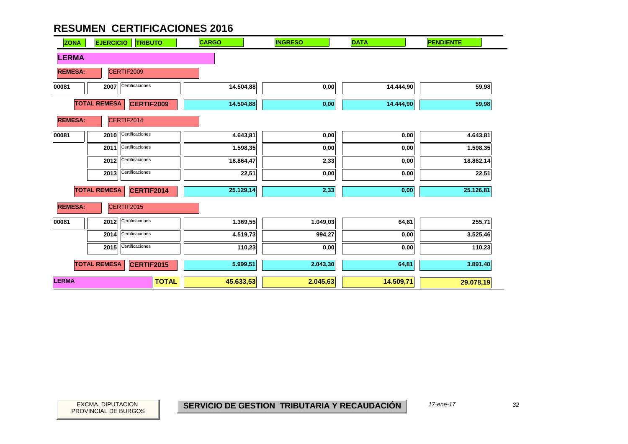| <b>ZONA</b>    | <b>EJERCICIO</b><br><b>TRIBUTO</b>       | <b>CARGO</b>              | <b>INGRESO</b> | <b>DATA</b> | <b>PENDIENTE</b> |
|----------------|------------------------------------------|---------------------------|----------------|-------------|------------------|
| <b>LERMA</b>   |                                          |                           |                |             |                  |
| <b>REMESA:</b> | CERTIF2009                               |                           |                |             |                  |
| 00081          | Certificaciones<br>2007                  | 14.504,88                 | 0,00           | 14.444,90   | 59,98            |
|                | <b>TOTAL REMESA</b><br><b>CERTIF2009</b> | 14.504,88                 | 0,00           | 14.444,90   | 59,98            |
| <b>REMESA:</b> | CERTIF2014                               |                           |                |             |                  |
| 00081          | Certificaciones<br>2010                  | 4.643,81                  | 0,00           | 0,00        | 4.643,81         |
|                | Certificaciones<br>2011                  | 1.598,35                  | 0,00           | 0,00        | 1.598,35         |
|                | Certificaciones<br>2012                  | 18.864,47                 | 2,33           | 0,00        | 18.862,14        |
|                | Certificaciones<br>2013                  | 22,51                     | 0,00           | 0,00        | 22,51            |
|                | <b>TOTAL REMESA</b><br>CERTIF2014        | 25.129,14                 | 2,33           | $0,\!00$    | 25.126,81        |
| <b>REMESA:</b> | CERTIF2015                               |                           |                |             |                  |
| 00081          | Certificaciones<br>2012                  | 1.369,55                  | 1.049,03       | 64,81       | 255,71           |
|                | Certificaciones<br>2014                  | 4.519,73                  | 994,27         | 0,00        | 3.525,46         |
|                | Certificaciones<br>2015                  | 110,23                    | 0,00           | 0,00        | 110,23           |
|                | <b>TOTAL REMESA</b><br><b>CERTIF2015</b> | 5.999,51                  | 2.043,30       | 64,81       | 3.891,40         |
| <b>LERMA</b>   |                                          | 45.633,53<br><b>TOTAL</b> | 2.045,63       | 14.509,71   | 29.078,19        |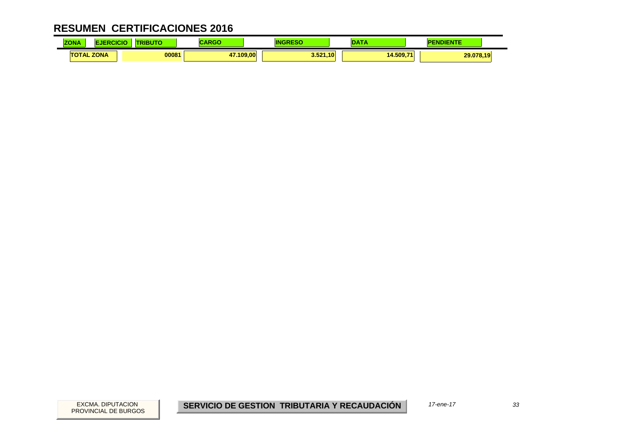| $-0.1 - 0.1$<br><b>ZONA</b> | CICK | .     |                             |          | $\sim$    | <b><i><u>Property</u></i></b><br><b>"DIENTL</b> |
|-----------------------------|------|-------|-----------------------------|----------|-----------|-------------------------------------------------|
| <b>TOTAL ZONA</b>           |      | 00081 | 47.109.00<br>$\overline{a}$ | 3.521,10 | 14.509.71 | 29.078,19                                       |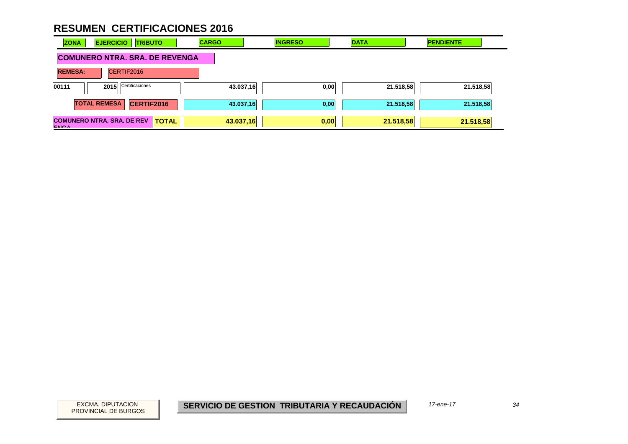| <b>ZONA</b>    | <b>EJERCICIO</b><br><b>TRIBUTO</b>                | <b>CARGO</b> | <b>INGRESO</b> | <b>DATA</b> | <b>PENDIENTE</b> |
|----------------|---------------------------------------------------|--------------|----------------|-------------|------------------|
|                | <b>COMUNERO NTRA. SRA. DE REVENGA</b>             |              |                |             |                  |
| <b>REMESA:</b> | CERTIF2016                                        |              |                |             |                  |
| 00111          | Certificaciones<br>2015                           | 43.037,16    | 0,00           | 21.518,58   | 21.518,58        |
|                | <b>TOTAL REMESA</b><br>CERTIF2016                 | 43.037,16    | 0,00           | 21.518,58   | 21.518,58        |
| <b>ENGA</b>    | <b>COMUNERO NTRA, SRA, DE REV</b><br><b>TOTAL</b> | 43.037,16    | 0,00           | 21.518,58   | 21.518,58        |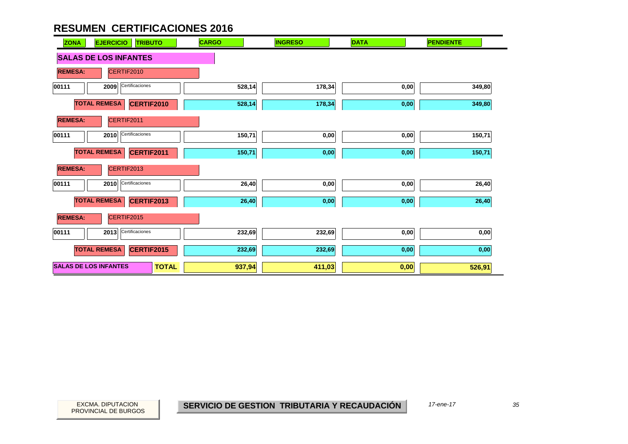| <b>EJERCICIO</b><br><b>TRIBUTO</b><br><b>ZONA</b> | <b>CARGO</b> | <b>INGRESO</b> | <b>DATA</b> | <b>PENDIENTE</b> |
|---------------------------------------------------|--------------|----------------|-------------|------------------|
| <b>SALAS DE LOS INFANTES</b>                      |              |                |             |                  |
| <b>REMESA:</b><br>CERTIF2010                      |              |                |             |                  |
| Certificaciones<br>2009<br>00111                  | 528,14       | 178,34         | 0,00        | 349,80           |
| <b>TOTAL REMESA</b><br>CERTIF2010                 | 528,14       | 178,34         | $0,\!00$    | 349,80           |
| <b>REMESA:</b><br>CERTIF2011                      |              |                |             |                  |
| 2010 Certificaciones<br>00111                     | 150,71       | 0,00           | 0,00        | 150,71           |
| <b>TOTAL REMESA</b><br>CERTIF2011                 | 150,71       | 0,00           | 0,00        | 150,71           |
| <b>REMESA:</b><br>CERTIF2013                      |              |                |             |                  |
| Certificaciones<br>00111<br>2010                  | 26,40        | 0,00           | 0,00        | 26,40            |
| <b>TOTAL REMESA</b><br><b>CERTIF2013</b>          | 26,40        | 0,00           | 0,00        | 26,40            |
| CERTIF2015<br><b>REMESA:</b>                      |              |                |             |                  |
| Certificaciones<br>00111<br>2013                  | 232,69       | 232,69         | 0,00        | 0,00             |
| <b>TOTAL REMESA</b><br><b>CERTIF2015</b>          | 232,69       | 232,69         | 0,00        | 0,00             |
| <b>SALAS DE LOS INFANTES</b><br><b>TOTAL</b>      | 937,94       | 411,03         | 0,00        | 526,91           |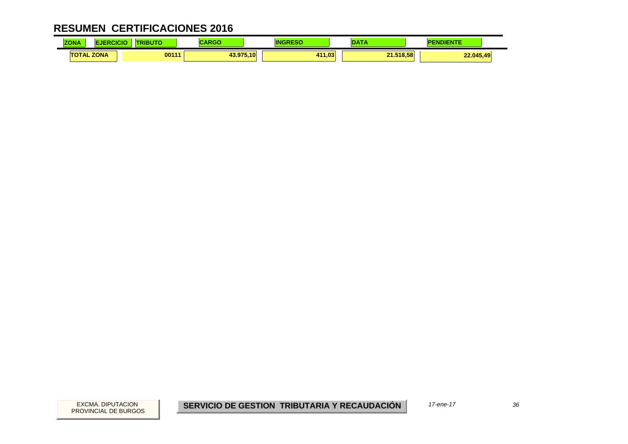| <b>ALLA</b><br><b>ZONA</b> | CICIO | .     | ,,,,,     |        | $\sim$    | <u>-</u> NDIENTE<br>PI |  |
|----------------------------|-------|-------|-----------|--------|-----------|------------------------|--|
| <b>TOTAL ZONA</b>          |       | 00111 | 43.975.10 | 411.03 | 21.518.58 | 22.045,49              |  |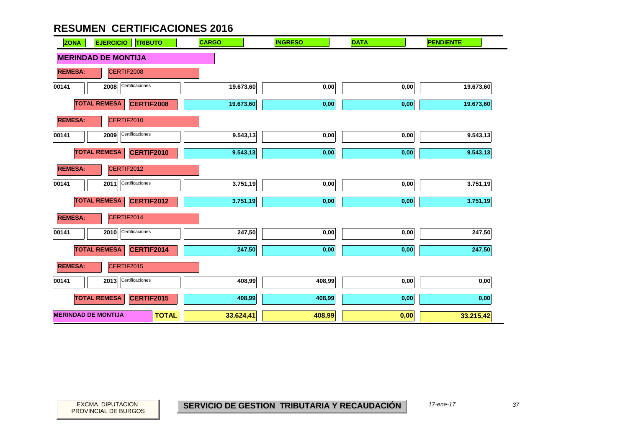| <b>ZONA</b>                | <b>EJERCICIO</b><br><b>TRIBUTO</b>       | <b>CARGO</b> | <b>INGRESO</b> | <b>DATA</b> | <b>PENDIENTE</b> |
|----------------------------|------------------------------------------|--------------|----------------|-------------|------------------|
|                            | <b>MERINDAD DE MONTIJA</b>               |              |                |             |                  |
| <b>REMESA:</b>             | CERTIF2008                               |              |                |             |                  |
| 00141                      | Certificaciones<br>2008                  | 19.673,60    | 0,00           | 0,00        | 19.673,60        |
|                            | <b>TOTAL REMESA</b><br><b>CERTIF2008</b> | 19.673,60    | 0,00           | 0,00        | 19.673,60        |
| <b>REMESA:</b>             | CERTIF2010                               |              |                |             |                  |
| 00141                      | Certificaciones<br>2009                  | 9.543,13     | 0,00           | 0,00        | 9.543,13         |
|                            | <b>TOTAL REMESA</b><br><b>CERTIF2010</b> | 9.543,13     | 0,00           | 0,00        | 9.543,13         |
| <b>REMESA:</b>             | CERTIF2012                               |              |                |             |                  |
| 00141                      | Certificaciones<br>2011                  | 3.751,19     | 0,00           | 0,00        | 3.751,19         |
|                            | <b>TOTAL REMESA</b><br><b>CERTIF2012</b> | 3.751,19     | 0,00           | 0,00        | 3.751,19         |
| <b>REMESA:</b>             | CERTIF2014                               |              |                |             |                  |
| 00141                      | Certificaciones<br>2010                  | 247,50       | 0,00           | 0,00        | 247,50           |
|                            | <b>TOTAL REMESA</b><br>CERTIF2014        | 247,50       | 0,00           | 0,00        | 247,50           |
| <b>REMESA:</b>             | CERTIF2015                               |              |                |             |                  |
| 00141                      | Certificaciones<br>2013                  | 408,99       | 408,99         | 0,00        | 0,00             |
|                            | <b>TOTAL REMESA</b><br>CERTIF2015        | 408,99       | 408,99         | 0,00        | 0,00             |
| <b>MERINDAD DE MONTIJA</b> | <b>TOTAL</b>                             | 33.624,41    | 408,99         | 0,00        | 33.215,42        |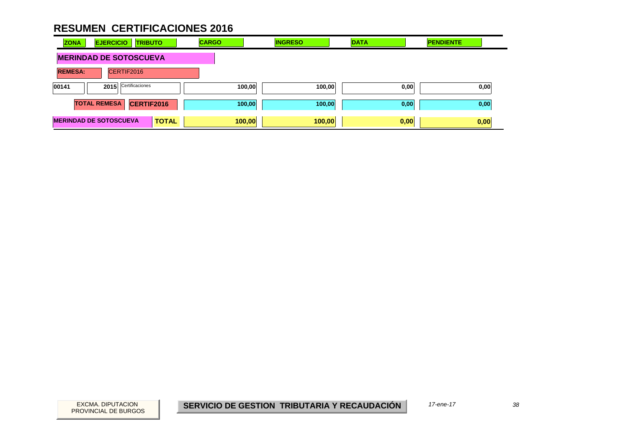| <b>ZONA</b>    | <b>EJERCICIO</b>              | <b>TRIBUTO</b> | <b>CARGO</b> | <b>INGRESO</b> | <b>DATA</b> | <b>PENDIENTE</b> |
|----------------|-------------------------------|----------------|--------------|----------------|-------------|------------------|
|                | <b>MERINDAD DE SOTOSCUEVA</b> |                |              |                |             |                  |
| <b>REMESA:</b> | CERTIF2016                    |                |              |                |             |                  |
| 00141          | 2015 Certificaciones          |                | 100,00       | 100,00         | 0,00        | 0,00             |
|                | <b>TOTAL REMESA</b>           | CERTIF2016     | 100,00       | 100,00         | 0,00        | 0,00             |
|                | <b>MERINDAD DE SOTOSCUEVA</b> | <b>TOTAL</b>   | 100,00       | 100,00         | 0,00        | 0,00             |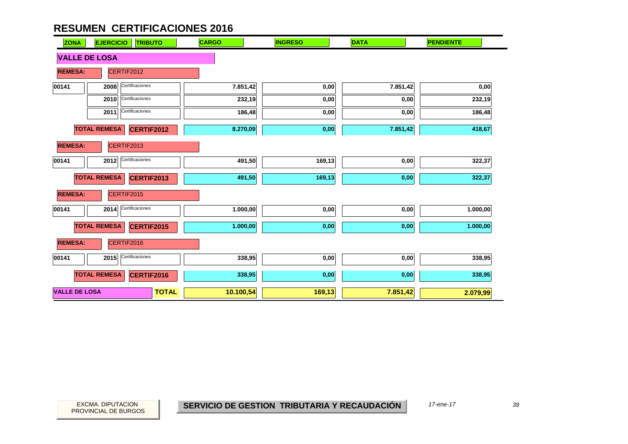| <b>ZONA</b>          | <b>EJERCICIO</b><br><b>TRIBUTO</b>       | <b>CARGO</b> | <b>INGRESO</b> | <b>DATA</b> | <b>PENDIENTE</b> |
|----------------------|------------------------------------------|--------------|----------------|-------------|------------------|
| <b>VALLE DE LOSA</b> |                                          |              |                |             |                  |
| <b>REMESA:</b>       | CERTIF2012                               |              |                |             |                  |
| 00141                | Certificaciones<br>2008                  | 7.851,42     | 0,00           | 7.851,42    | 0,00             |
|                      | Certificaciones<br>2010                  | 232,19       | 0,00           | 0,00        | 232,19           |
|                      | Certificaciones<br>2011                  | 186,48       | 0,00           | 0,00        | 186,48           |
|                      | <b>TOTAL REMESA</b><br><b>CERTIF2012</b> | 8.270,09     | 0,00           | 7.851,42    | 418,67           |
| <b>REMESA:</b>       | CERTIF2013                               |              |                |             |                  |
| 00141                | Certificaciones<br>2012                  | 491,50       | 169,13         | 0,00        | 322,37           |
|                      | <b>TOTAL REMESA</b><br><b>CERTIF2013</b> | 491,50       | 169,13         | 0,00        | 322,37           |
| <b>REMESA:</b>       | CERTIF2015                               |              |                |             |                  |
| 00141                | Certificaciones<br>2014                  | 1.000,00     | 0,00           | 0,00        | 1.000,00         |
|                      | <b>TOTAL REMESA</b><br><b>CERTIF2015</b> | 1.000,00     | 0,00           | 0,00        | 1.000,00         |
| <b>REMESA:</b>       | CERTIF2016                               |              |                |             |                  |
| 00141                | Certificaciones<br>2015                  | 338,95       | 0,00           | 0,00        | 338,95           |
|                      | <b>TOTAL REMESA</b><br>CERTIF2016        | 338,95       | 0,00           | 0,00        | 338,95           |
| <b>VALLE DE LOSA</b> | <b>TOTAL</b>                             | 10.100,54    | 169,13         | 7.851,42    | 2.079,99         |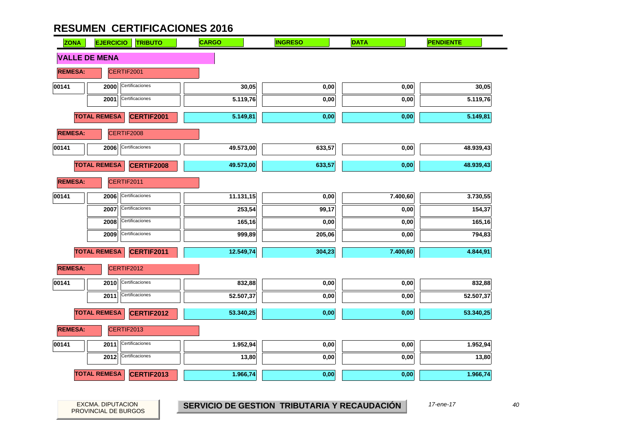| <b>ZONA</b>          | <b>EJERCICIO</b><br><b>TRIBUTO</b>       | <b>CARGO</b> | <b>INGRESO</b> | <b>DATA</b> | <b>PENDIENTE</b> |
|----------------------|------------------------------------------|--------------|----------------|-------------|------------------|
| <b>VALLE DE MENA</b> |                                          |              |                |             |                  |
| <b>REMESA:</b>       | CERTIF2001                               |              |                |             |                  |
| 00141                | Certificaciones<br>2000                  | 30,05        | 0,00           | 0,00        | 30,05            |
|                      | Certificaciones<br>2001                  | 5.119,76     | 0,00           | 0,00        | 5.119,76         |
|                      | <b>TOTAL REMESA</b><br>CERTIF2001        | 5.149,81     | 0,00           | 0,00        | 5.149,81         |
| <b>REMESA:</b>       | CERTIF2008                               |              |                |             |                  |
| 00141                | Certificaciones<br>2006                  | 49.573,00    | 633,57         | 0,00        | 48.939,43        |
|                      | <b>TOTAL REMESA</b><br><b>CERTIF2008</b> | 49.573,00    | 633,57         | 0,00        | 48.939,43        |
| <b>REMESA:</b>       | CERTIF2011                               |              |                |             |                  |
| 00141                | Certificaciones<br>2006                  | 11.131,15    | 0,00           | 7.400,60    | 3.730,55         |
|                      | Certificaciones<br>2007                  | 253,54       | 99,17          | 0,00        | 154,37           |
|                      | Certificaciones<br>2008                  | 165,16       | 0,00           | 0,00        | 165,16           |
|                      | Certificaciones<br>2009                  | 999,89       | 205,06         | 0,00        | 794,83           |
|                      | <b>TOTAL REMESA</b><br>CERTIF2011        | 12.549,74    | 304,23         | 7.400,60    | 4.844,91         |
| <b>REMESA:</b>       | CERTIF2012                               |              |                |             |                  |
| 00141                | Certificaciones<br>2010                  | 832,88       | 0,00           | 0,00        | 832,88           |
|                      | Certificaciones<br>2011                  | 52.507,37    | 0,00           | 0,00        | 52.507,37        |
|                      | <b>TOTAL REMESA</b><br><b>CERTIF2012</b> | 53.340,25    | 0,00           | 0,00        | 53.340,25        |
| <b>REMESA:</b>       | CERTIF2013                               |              |                |             |                  |
| 00141                | Certificaciones<br>2011                  | 1.952,94     | 0,00           | 0,00        | 1.952,94         |
|                      | Certificaciones<br>2012                  | 13,80        | 0,00           | 0,00        | 13,80            |
|                      | <b>TOTAL REMESA</b><br><b>CERTIF2013</b> | 1.966,74     | 0,00           | 0,00        | 1.966,74         |

PROVINCIAL DE BURGOS

EXCMA. DIPUTACION *40* **SERVICIO DE GESTION TRIBUTARIA Y RECAUDACIÓN** *17-ene-17*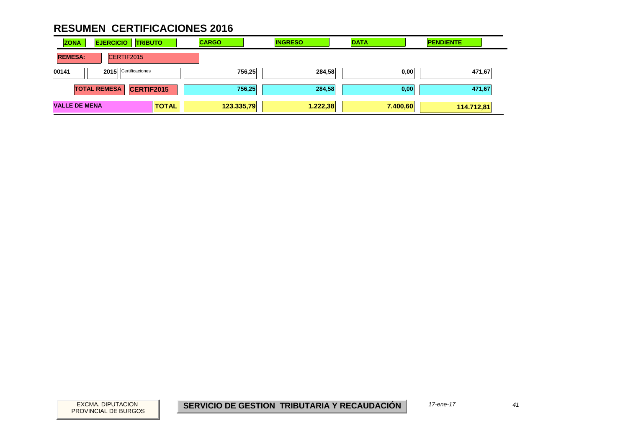| <b>ZONA</b>          | <b>EJERCICIO</b>    | <b>TRIBUTO</b>    | <b>CARGO</b> | <b>INGRESO</b> | <b>DATA</b> | <b>PENDIENTE</b> |
|----------------------|---------------------|-------------------|--------------|----------------|-------------|------------------|
| <b>REMESA:</b>       | CERTIF2015          |                   |              |                |             |                  |
| 00141                | 2015                | Certificaciones   |              | 756,25         | 284,58      | 471,67<br>0,00   |
|                      | <b>TOTAL REMESA</b> | <b>CERTIF2015</b> |              | 756,25         | 284,58      | 471,67<br>0,00   |
| <b>VALLE DE MENA</b> |                     | <b>TOTAL</b>      | 123.335,79   | 1.222,38       | 7.400,60    | 114.712,81       |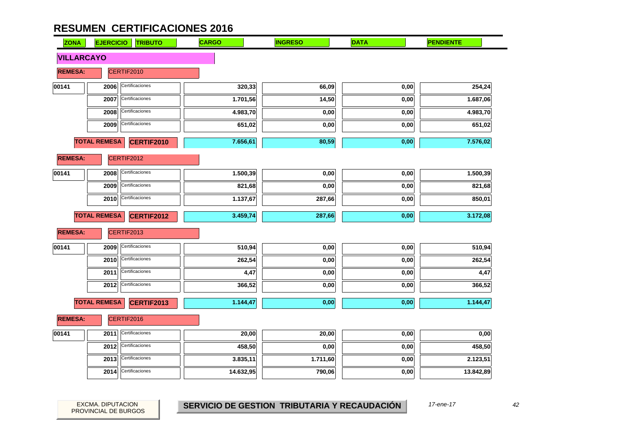| <b>ZONA</b>       | <b>EJERCICIO</b><br><b>TRIBUTO</b>       | <b>CARGO</b> | <b>INGRESO</b> | <b>DATA</b>       | <b>PENDIENTE</b> |
|-------------------|------------------------------------------|--------------|----------------|-------------------|------------------|
| <b>VILLARCAYO</b> |                                          |              |                |                   |                  |
| <b>REMESA:</b>    | CERTIF2010                               |              |                |                   |                  |
| 00141             | Certificaciones<br>2006                  | 320,33       | 66,09          | 0,00              | 254,24           |
|                   | Certificaciones<br>2007                  | 1.701,56     | 14,50          | 0,00              | 1.687,06         |
|                   | Certificaciones<br>2008                  | 4.983,70     | 0,00           | 0,00              | 4.983,70         |
|                   | Certificaciones<br>2009                  | 651,02       | 0,00           | $\mathbf{0{,}00}$ | 651,02           |
|                   | <b>TOTAL REMESA</b><br><b>CERTIF2010</b> | 7.656,61     | 80,59          | 0,00              | 7.576,02         |
| <b>REMESA:</b>    | CERTIF2012                               |              |                |                   |                  |
| 00141             | Certificaciones<br>2008                  | 1.500,39     | 0,00           | 0,00              | 1.500,39         |
|                   | Certificaciones<br>2009                  | 821,68       | 0,00           | 0,00              | 821,68           |
|                   | Certificaciones<br>2010                  | 1.137,67     | 287,66         | $0,\!00$          | 850,01           |
|                   | <b>TOTAL REMESA</b><br><b>CERTIF2012</b> | 3.459,74     | 287,66         | 0,00              | 3.172,08         |
| <b>REMESA:</b>    | CERTIF2013                               |              |                |                   |                  |
| 00141             | Certificaciones<br>2009                  | 510,94       | 0,00           | 0,00              | 510,94           |
|                   | Certificaciones<br>2010                  | 262,54       | 0,00           | 0,00              | 262,54           |
|                   | Certificaciones<br>2011                  | 4,47         | 0,00           | $_{0,00}$         | 4,47             |
|                   | Certificaciones<br>2012                  | 366,52       | 0,00           | 0,00              | 366,52           |
|                   | <b>TOTAL REMESA</b><br><b>CERTIF2013</b> | 1.144,47     | 0,00           | 0,00              | 1.144,47         |
| <b>REMESA:</b>    | CERTIF2016                               |              |                |                   |                  |
| 00141             | Certificaciones<br>2011                  | 20,00        | 20,00          | 0,00              | 0,00             |
|                   | Certificaciones<br>2012                  | 458,50       | 0,00           | 0,00              | 458,50           |
|                   | Certificaciones<br>2013                  | 3.835,11     | 1.711,60       | 0,00              | 2.123,51         |
|                   | Certificaciones<br>2014                  | 14.632,95    | 790,06         | 0,00              | 13.842,89        |

PROVINCIAL DE BURGOS

EXCMA. DIPUTACION *42* **SERVICIO DE GESTION TRIBUTARIA Y RECAUDACIÓN** *17-ene-17*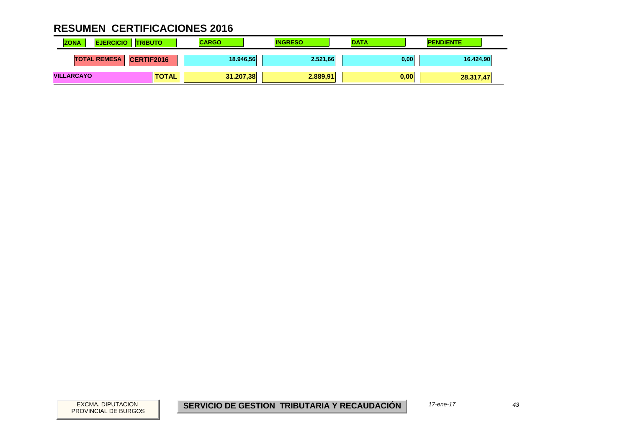| <b>ZONA</b><br><b>EJERCICIO</b> | <b>TRIBUTO</b>    | <b>CARGO</b> | <b>INGRESO</b> | <b>DATA</b> | <b>PENDIENTE</b> |
|---------------------------------|-------------------|--------------|----------------|-------------|------------------|
| <b>TOTAL REMESA</b>             | <b>CERTIF2016</b> | 18.946,56    | 2.521,66       | 0,00        | 16.424,90        |
| <b>VILLARCAYO</b>               | <b>TOTAL</b>      | 31.207,38    | 2.889.91       | 0,00        | 28.317,47        |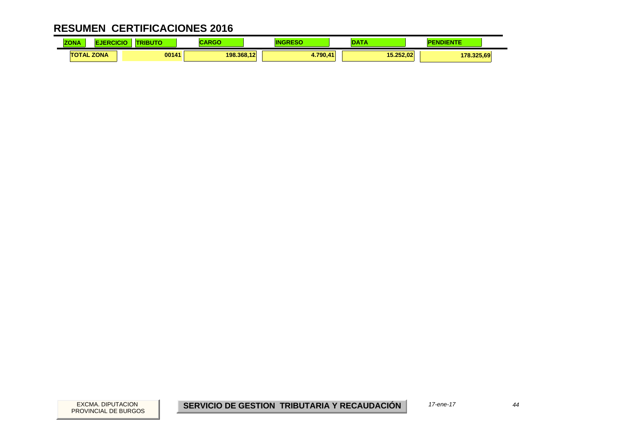| <b>ZONA</b> | NCK.              | BUTO  | .<br><u>and the second</u> | ΙN        |           | <b>NDIENTE</b> |  |
|-------------|-------------------|-------|----------------------------|-----------|-----------|----------------|--|
|             | <b>TOTAL ZONA</b> | 00141 | 198.368.12                 | $+790.41$ | 15.252.02 | 178.325.69     |  |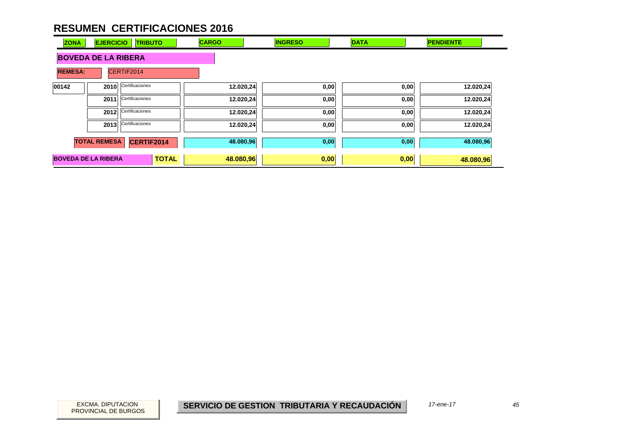| <b>ZONA</b>                | <b>EJERCICIO</b>    | <b>TRIBUTO</b>  | <b>CARGO</b> | <b>INGRESO</b> | <b>DATA</b> | <b>PENDIENTE</b> |
|----------------------------|---------------------|-----------------|--------------|----------------|-------------|------------------|
| <b>BOVEDA DE LA RIBERA</b> |                     |                 |              |                |             |                  |
| <b>REMESA:</b>             | CERTIF2014          |                 |              |                |             |                  |
| 00142                      | 2010                | Certificaciones | 12.020,24    | 0,00           | 0,00        | 12.020,24        |
|                            | 2011                | Certificaciones | 12.020,24    | 0,00           | 0,00        | 12.020,24        |
|                            | 2012                | Certificaciones | 12.020,24    | 0,00           | 0,00        | 12.020,24        |
|                            | 2013                | Certificaciones | 12.020,24    | 0,00           | 0,00        | 12.020,24        |
|                            | <b>TOTAL REMESA</b> | CERTIF2014      | 48.080,96    | 0,00           | 0,00        | 48.080,96        |
| <b>BOVEDA DE LA RIBERA</b> |                     | <b>TOTAL</b>    | 48.080,96    | 0,00           | 0,00        | 48.080,96        |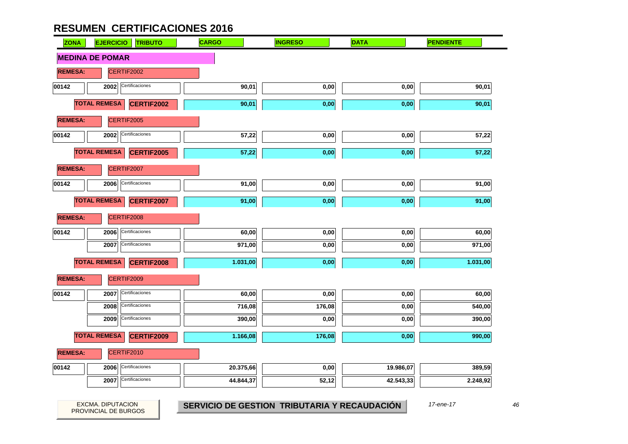| <b>ZONA</b>    | <b>EJERCICIO</b><br><b>TRIBUTO</b>       | <b>CARGO</b> | <b>INGRESO</b> | <b>DATA</b> | <b>PENDIENTE</b> |
|----------------|------------------------------------------|--------------|----------------|-------------|------------------|
|                | <b>MEDINA DE POMAR</b>                   |              |                |             |                  |
| <b>REMESA:</b> | CERTIF2002                               |              |                |             |                  |
| 00142          | Certificaciones<br>2002                  | 90,01        | 0,00           | 0,00        | 90,01            |
|                | <b>TOTAL REMESA</b><br><b>CERTIF2002</b> | 90,01        | 0,00           | 0,00        | 90,01            |
| <b>REMESA:</b> | CERTIF2005                               |              |                |             |                  |
| 00142          | Certificaciones<br>2002                  | 57,22        | 0,00           | 0,00        | 57,22            |
|                | <b>TOTAL REMESA</b><br>CERTIF2005        | 57,22        | 0,00           | 0,00        | 57,22            |
| <b>REMESA:</b> | CERTIF2007                               |              |                |             |                  |
| 00142          | Certificaciones<br>2006                  | 91,00        | 0,00           | 0,00        | 91,00            |
|                | <b>TOTAL REMESA</b><br><b>CERTIF2007</b> | 91,00        | 0,00           | 0,00        | 91,00            |
| <b>REMESA:</b> | CERTIF2008                               |              |                |             |                  |
| 00142          | Certificaciones<br>2006                  | 60,00        | 0,00           | 0,00        | 60,00            |
|                | Certificaciones<br>2007                  | 971,00       | 0,00           | 0,00        | 971,00           |
|                | <b>TOTAL REMESA</b><br><b>CERTIF2008</b> | 1.031,00     | 0,00           | 0,00        | 1.031,00         |
| <b>REMESA:</b> | CERTIF2009                               |              |                |             |                  |
| 00142          | Certificaciones<br>2007                  | 60,00        | 0,00           | 0,00        | 60,00            |
|                | Certificaciones<br>2008                  | 716,08       | 176,08         | 0,00        | 540,00           |
|                | Certificaciones<br>2009                  | 390,00       | 0,00           | 0,00        | 390,00           |
|                | <b>TOTAL REMESA</b><br><b>CERTIF2009</b> | 1.166,08     | 176,08         | 0,00        | 990,00           |
| <b>REMESA:</b> | CERTIF2010                               |              |                |             |                  |
| 00142          | Certificaciones<br>2006                  | 20.375,66    | 0,00           | 19.986,07   | 389,59           |
|                | Certificaciones<br>2007                  | 44.844,37    | 52,12          | 42.543,33   | 2.248,92         |
|                |                                          |              |                |             |                  |

PROVINCIAL DE BURGOS

EXCMA. DIPUTACION *46* **SERVICIO DE GESTION TRIBUTARIA Y RECAUDACIÓN** *17-ene-17*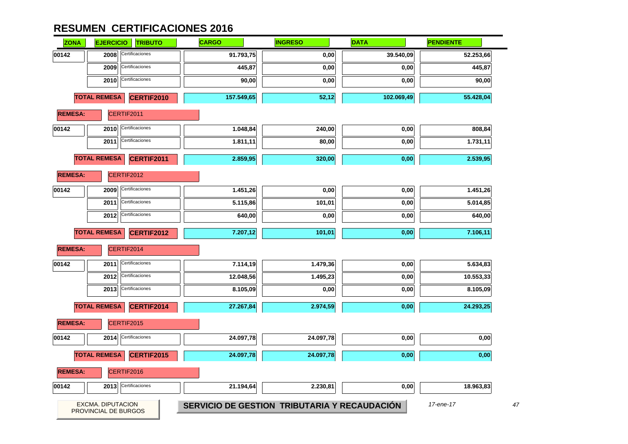| <b>ZONA</b>    | <b>EJERCICIO</b>         | <b>TRIBUTO</b>       | <b>CARGO</b>                                 | <b>INGRESO</b> | <b>DATA</b> | <b>PENDIENTE</b> |
|----------------|--------------------------|----------------------|----------------------------------------------|----------------|-------------|------------------|
| 00142          | 2008                     | Certificaciones      | 91.793,75                                    | 0,00           | 39.540,09   | 52.253,66        |
|                | 2009                     | Certificaciones      | 445,87                                       | 0,00           | 0,00        | 445,87           |
|                | 2010                     | Certificaciones      | 90,00                                        | 0,00           | 0,00        | 90,00            |
|                | <b>TOTAL REMESA</b>      | CERTIF2010           | 157.549,65                                   | 52,12          | 102.069,49  | 55.428,04        |
| <b>REMESA:</b> |                          | CERTIF2011           |                                              |                |             |                  |
| 00142          | 2010                     | Certificaciones      | 1.048,84                                     | 240,00         | 0,00        | 808,84           |
|                | 2011                     | Certificaciones      | 1.811,11                                     | 80,00          | 0,00        | 1.731,11         |
|                | <b>TOTAL REMESA</b>      | <b>CERTIF2011</b>    | 2.859,95                                     | 320,00         | 0,00        | 2.539,95         |
| <b>REMESA:</b> |                          | CERTIF2012           |                                              |                |             |                  |
| 00142          | 2009                     | Certificaciones      | 1.451,26                                     | 0,00           | 0,00        | 1.451,26         |
|                | 2011                     | Certificaciones      | 5.115,86                                     | 101,01         | 0,00        | 5.014,85         |
|                | 2012                     | Certificaciones      | 640,00                                       | 0,00           | 0,00        | 640,00           |
|                | <b>TOTAL REMESA</b>      | <b>CERTIF2012</b>    | 7.207,12                                     | 101,01         | 0,00        | 7.106,11         |
| <b>REMESA:</b> |                          | CERTIF2014           |                                              |                |             |                  |
| 00142          | 2011                     | Certificaciones      | 7.114,19                                     | 1.479,36       | 0,00        | 5.634,83         |
|                | 2012                     | Certificaciones      | 12.048,56                                    | 1.495,23       | 0,00        | 10.553,33        |
|                | 2013                     | Certificaciones      | 8.105,09                                     | 0,00           | 0,00        | 8.105,09         |
|                | <b>TOTAL REMESA</b>      | CERTIF2014           | 27.267,84                                    | 2.974,59       | 0,00        | 24.293,25        |
| <b>REMESA:</b> |                          | CERTIF2015           |                                              |                |             |                  |
| 00142          | 2014                     | Certificaciones      | 24.097,78                                    | 24.097,78      | 0,00        | 0,00             |
|                | <b>TOTAL REMESA</b>      | CERTIF2015           | 24.097,78                                    | 24.097,78      | 0,00        | 0,00             |
| <b>REMESA:</b> |                          | CERTIF2016           |                                              |                |             |                  |
| 00142          |                          | 2013 Certificaciones | 21.194,64                                    | 2.230,81       | 0,00        | 18.963,83        |
|                | <b>EXCMA. DIPUTACION</b> | PROVINCIAL DE BURGOS | SERVICIO DE GESTION TRIBUTARIA Y RECAUDACIÓN |                |             | 17-ene-17        |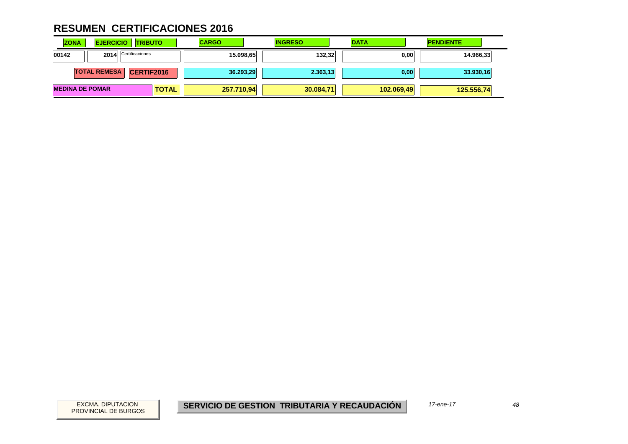| <b>ZONA</b>            | <b>EJERCICIO</b>    | <b>TRIBUTO</b>    | <b>CARGO</b> | <b>INGRESO</b> | <b>DATA</b> | <b>PENDIENTE</b> |
|------------------------|---------------------|-------------------|--------------|----------------|-------------|------------------|
| 00142                  | 2014                | Certificaciones   | 15.098,65    | 132,32         | 0,00        | 14.966,33        |
|                        | <b>TOTAL REMESA</b> | <b>CERTIF2016</b> | 36.293,29    | 2.363,13       | 0,00        | 33.930,16        |
| <b>MEDINA DE POMAR</b> |                     | <b>TOTAL</b>      | 257.710,94   | 30.084,71      | 102.069,49  | 125.556,74       |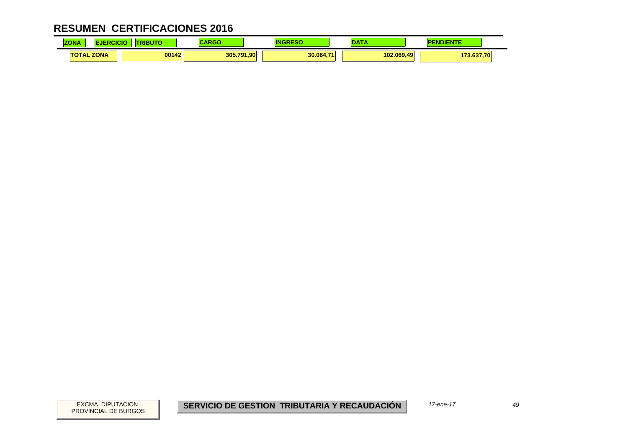| ZONA              | .<br>uı | ADAA<br>70 J |           | . <del>.</del> | <b>NDIENTE</b> |  |
|-------------------|---------|--------------|-----------|----------------|----------------|--|
| <b>TOTAL ZONA</b> | 00142   | 305.791,90   | 30.084.71 | 102.069.49     | 73.637,70      |  |